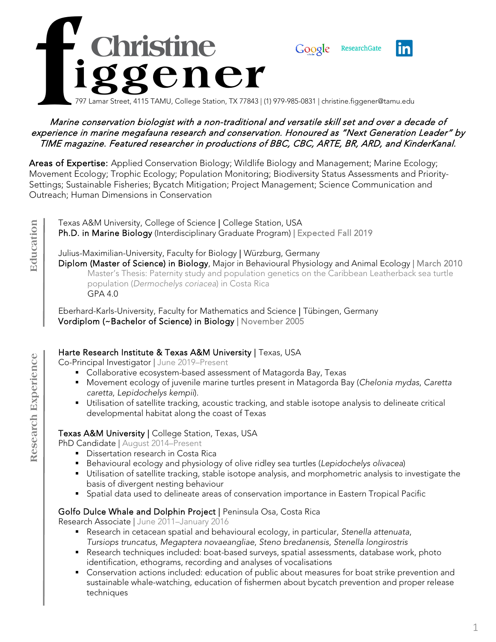

#### Marine conservation biologist with a non-traditional and versatile skill set and over a decade of experience in marine megafauna research and conservation. Honoured as "Next Generation Leader" by .<br>TIME magazine. Featured researcher in productions of BBC, CBC, ARTE, BR, ARD, and KinderKanal.

Areas of Expertise: Applied Conservation Biology; Wildlife Biology and Management; Marine Ecology; Movement Ecology; Trophic Ecology; Population Monitoring; Biodiversity Status Assessments and Priority-Settings; Sustainable Fisheries; Bycatch Mitigation; Project Management; Science Communication and Outreach; Human Dimensions in Conservation

**Education Education** Texas A&M University, College of Science | College Station, USA Ph.D. in Marine Biology (Interdisciplinary Graduate Program) | Expected Fall 2019

Julius-Maximilian-University, Faculty for Biology | Würzburg, Germany Diplom (Master of Science) in Biology, Major in Behavioural Physiology and Animal Ecology | March 2010 Master's Thesis: Paternity study and population genetics on the Caribbean Leatherback sea turtle population (*Dermochelys coriacea*) in Costa Rica GPA 4.0

Eberhard-Karls-University, Faculty for Mathematics and Science | Tübingen, Germany Vordiplom (~Bachelor of Science) in Biology | November 2005

### Harte Research Institute & Texas A&M University | Texas, USA

Co-Principal Investigator | June 2019–Present

- Collaborative ecosystem-based assessment of Matagorda Bay, Texas
- Movement ecology of juvenile marine turtles present in Matagorda Bay (*Chelonia mydas*, *Caretta caretta*, *Lepidochelys kempii*).
- Utilisation of satellite tracking, acoustic tracking, and stable isotope analysis to delineate critical developmental habitat along the coast of Texas

### Texas A&M University | College Station, Texas, USA

PhD Candidate | August 2014–Present

- **Dissertation research in Costa Rica**
- Behavioural ecology and physiology of olive ridley sea turtles (*Lepidochelys olivacea*)
- Utilisation of satellite tracking, stable isotope analysis, and morphometric analysis to investigate the basis of divergent nesting behaviour
- Spatial data used to delineate areas of conservation importance in Eastern Tropical Pacific

### Golfo Dulce Whale and Dolphin Project | Peninsula Osa, Costa Rica

Research Associate | June 2011–January 2016

- Research in cetacean spatial and behavioural ecology, in particular, *Stenella attenuata*, *Tursiops truncatus*, *Megaptera novaeangliae*, *Steno bredanensis*, *Stenella longirostris*
- Research techniques included: boat-based surveys, spatial assessments, database work, photo identification, ethograms, recording and analyses of vocalisations
- Conservation actions included: education of public about measures for boat strike prevention and sustainable whale-watching, education of fishermen about bycatch prevention and proper release techniques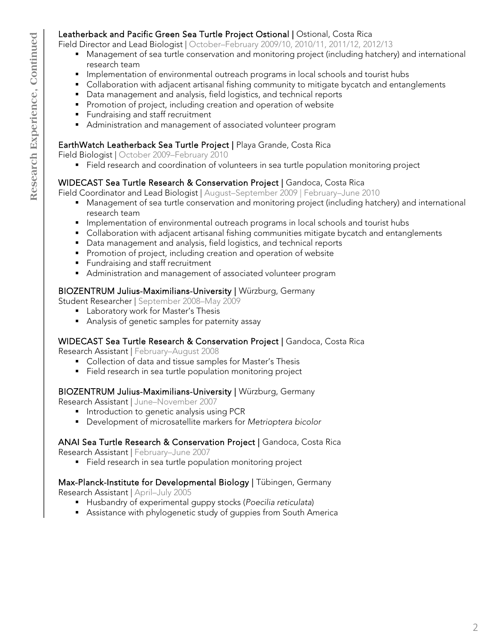# Leatherback and Pacific Green Sea Turtle Project Ostional | Ostional, Costa Rica

Field Director and Lead Biologist | October–February 2009/10, 2010/11, 2011/12, 2012/13

- Management of sea turtle conservation and monitoring project (including hatchery) and international research team
- **Implementation of environmental outreach programs in local schools and tourist hubs**
- **•** Collaboration with adjacent artisanal fishing community to mitigate bycatch and entanglements
- Data management and analysis, field logistics, and technical reports
- **Promotion of project, including creation and operation of website**
- **Fundraising and staff recruitment**
- Administration and management of associated volunteer program

# EarthWatch Leatherback Sea Turtle Project | Playa Grande, Costa Rica

Field Biologist | October 2009–February 2010

Field research and coordination of volunteers in sea turtle population monitoring project

# WIDECAST Sea Turtle Research & Conservation Project | Gandoca, Costa Rica

Field Coordinator and Lead Biologist | August–September 2009 | February–June 2010

- Management of sea turtle conservation and monitoring project (including hatchery) and international research team
- **Implementation of environmental outreach programs in local schools and tourist hubs**
- Collaboration with adjacent artisanal fishing communities mitigate bycatch and entanglements
- Data management and analysis, field logistics, and technical reports
- **Promotion of project, including creation and operation of website**
- **Fundraising and staff recruitment**
- Administration and management of associated volunteer program

# BIOZENTRUM Julius-Maximilians-University | Würzburg, Germany

Student Researcher | September 2008–May 2009

- **Laboratory work for Master's Thesis**
- Analysis of genetic samples for paternity assay

# WIDECAST Sea Turtle Research & Conservation Project | Gandoca, Costa Rica

Research Assistant | February–August 2008

- Collection of data and tissue samples for Master's Thesis
- Field research in sea turtle population monitoring project

# BIOZENTRUM Julius-Maximilians-University | Würzburg, Germany

Research Assistant | June–November 2007

- **Introduction to genetic analysis using PCR**
- Development of microsatellite markers for *Metrioptera bicolor*

# ANAI Sea Turtle Research & Conservation Project | Gandoca, Costa Rica

Research Assistant | February–June 2007

Field research in sea turtle population monitoring project

# Max-Planck-Institute for Developmental Biology | Tübingen, Germany

Research Assistant | April–July 2005

- Husbandry of experimental guppy stocks (*Poecilia reticulata*)
- Assistance with phylogenetic study of guppies from South America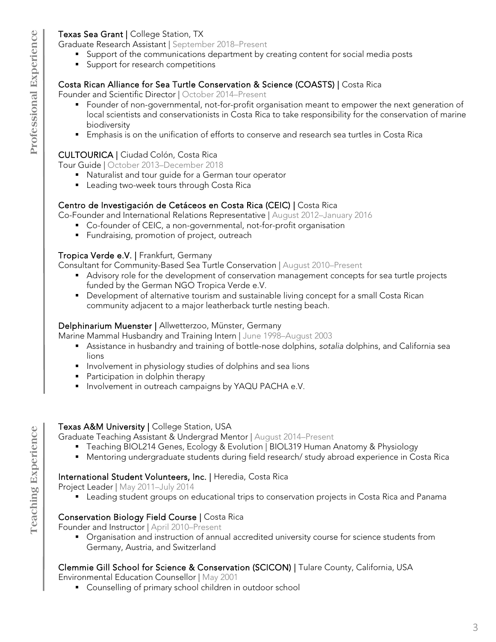### Texas Sea Grant | College Station, TX

Graduate Research Assistant | September 2018–Present

- Support of the communications department by creating content for social media posts
- **Support for research competitions**

### Costa Rican Alliance for Sea Turtle Conservation & Science (COASTS) | Costa Rica

Founder and Scientific Director | October 2014–Present

- Founder of non-governmental, not-for-profit organisation meant to empower the next generation of local scientists and conservationists in Costa Rica to take responsibility for the conservation of marine biodiversity
- **Emphasis is on the unification of efforts to conserve and research sea turtles in Costa Rica**

### CULTOURICA | Ciudad Colón, Costa Rica

Tour Guide | October 2013–December 2018

- Naturalist and tour guide for a German tour operator
- **Leading two-week tours through Costa Rica**

### Centro de Investigación de Cetáceos en Costa Rica (CEIC) | Costa Rica

Co-Founder and International Relations Representative | August 2012–January 2016

- Co-founder of CEIC, a non-governmental, not-for-profit organisation
- **Fundraising, promotion of project, outreach**

### Tropica Verde e.V. | Frankfurt, Germany

Consultant for Community-Based Sea Turtle Conservation | August 2010–Present

- Advisory role for the development of conservation management concepts for sea turtle projects funded by the German NGO Tropica Verde e.V.
- **Development of alternative tourism and sustainable living concept for a small Costa Rican** community adjacent to a major leatherback turtle nesting beach.

### Delphinarium Muenster | Allwetterzoo, Münster, Germany

Marine Mammal Husbandry and Training Intern | June 1998–August 2003

- Assistance in husbandry and training of bottle-nose dolphins, *sotalia* dolphins, and California sea lions
- **Involvement in physiology studies of dolphins and sea lions**
- **Participation in dolphin therapy**
- **Involvement in outreach campaigns by YAQU PACHA e.V.**

### Texas A&M University | College Station, USA

Graduate Teaching Assistant & Undergrad Mentor | August 2014–Present

- Teaching BIOL214 Genes, Ecology & Evolution | BIOL319 Human Anatomy & Physiology
- Mentoring undergraduate students during field research/ study abroad experience in Costa Rica

# International Student Volunteers, Inc. | Heredia, Costa Rica

Project Leader | May 2011–July 2014

**Example 1** Leading student groups on educational trips to conservation projects in Costa Rica and Panama

# Conservation Biology Field Course | Costa Rica

Founder and Instructor | April 2010–Present

 Organisation and instruction of annual accredited university course for science students from Germany, Austria, and Switzerland

# Clemmie Gill School for Science & Conservation (SCICON) | Tulare County, California, USA

Environmental Education Counsellor | May 2001

Counselling of primary school children in outdoor school

**Teaching Experience**

**Teaching Experience**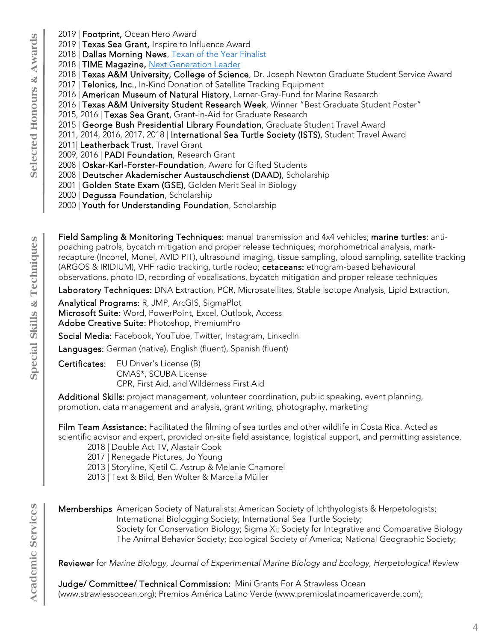- 2019 | Footprint, Ocean Hero Award
- 2019 | Texas Sea Grant, Inspire to Influence Award
- 2018 | Dallas Morning News, [Texan of the Year Finalist](https://www.dallasnews.com/opinion/commentary/2018/12/28/texan-year-finalist-christine-figgener-video-sea-turtle-launched-anti-straw-movement)
- 2018 | TIME Magazine, [Next Generation Leader](https://time.com/collection-post/5414033/christine-figgener-next-generation-leaders/)
- 2018 | Texas A&M University, College of Science, Dr. Joseph Newton Graduate Student Service Award
- 2017 | Telonics, Inc., In-Kind Donation of Satellite Tracking Equipment
- 2016 | American Museum of Natural History, Lerner-Gray-Fund for Marine Research
- 2016 | Texas A&M University Student Research Week, Winner "Best Graduate Student Poster"
- 2015, 2016 | Texas Sea Grant, Grant-in-Aid for Graduate Research
- 2015 | George Bush Presidential Library Foundation, Graduate Student Travel Award
- 2011, 2014, 2016, 2017, 2018 | International Sea Turtle Society (ISTS), Student Travel Award
- 2011| Leatherback Trust, Travel Grant
- 2009, 2016 | PADI Foundation, Research Grant
- 2008 | Oskar-Karl-Forster-Foundation, Award for Gifted Students
- 2008 | Deutscher Akademischer Austauschdienst (DAAD), Scholarship
- 2001 | Golden State Exam (GSE), Golden Merit Seal in Biology
- 2000 | Degussa Foundation, Scholarship
- 2000 | Youth for Understanding Foundation, Scholarship

Field Sampling & Monitoring Techniques: manual transmission and 4x4 vehicles; marine turtles: antipoaching patrols, bycatch mitigation and proper release techniques; morphometrical analysis, markrecapture (Inconel, Monel, AVID PIT), ultrasound imaging, tissue sampling, blood sampling, satellite tracking (ARGOS & IRIDIUM), VHF radio tracking, turtle rodeo; cetaceans: ethogram-based behavioural observations, photo ID, recording of vocalisations, bycatch mitigation and proper release techniques

Laboratory Techniques: DNA Extraction, PCR, Microsatellites, Stable Isotope Analysis, Lipid Extraction,

Analytical Programs: R, JMP, ArcGIS, SigmaPlot

Microsoft Suite: Word, PowerPoint, Excel, Outlook, Access Adobe Creative Suite: Photoshop, PremiumPro

Social Media: Facebook, YouTube, Twitter, Instagram, LinkedIn

Languages: German (native), English (fluent), Spanish (fluent)

Certificates: EU Driver's License (B) CMAS\*, SCUBA License CPR, First Aid, and Wilderness First Aid

Additional Skills: project management, volunteer coordination, public speaking, event planning, promotion, data management and analysis, grant writing, photography, marketing

Film Team Assistance: Facilitated the filming of sea turtles and other wildlife in Costa Rica. Acted as scientific advisor and expert, provided on-site field assistance, logistical support, and permitting assistance.

- 2018 | Double Act TV, Alastair Cook
- 2017 | Renegade Pictures, Jo Young
- 2013 | Storyline, Kjetil C. Astrup & Melanie Chamorel
- 2013 | Text & Bild, Ben Wolter & Marcella Müller
- Memberships American Society of Naturalists; American Society of Ichthyologists & Herpetologists; International Biologging Society; International Sea Turtle Society; Society for Conservation Biology; Sigma Xi; Society for Integrative and Comparative Biology The Animal Behavior Society; Ecological Society of America; National Geographic Society;

Reviewer for *Marine Biology*, *Journal of Experimental Marine Biology and Ecology*, *Herpetological Review* 

Judge/ Committee/ Technical Commission: Mini Grants For A Strawless Ocean (www.strawlessocean.org); Premios América Latino Verde (www.premioslatinoamericaverde.com);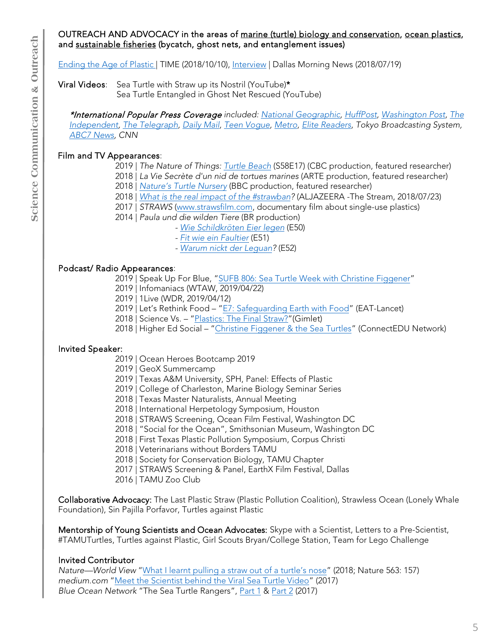#### OUTREACH AND ADVOCACY in the areas of marine (turtle) biology and conservation, ocean plastics, and sustainable fisheries (bycatch, ghost nets, and entanglement issues)

[Ending the Age of Plastic |](https://time.com/collection-post/5414033/christine-figgener-next-generation-leaders/) TIME (2018/10/10), [Interview](https://www.dallasnews.com/opinion/commentary/2018/07/19/video-sea-turtle-soured-americans-drinking-straws) | Dallas Morning News (2018/07/19)

Viral Videos: Sea Turtle with Straw up its Nostril (YouTube)\*

Sea Turtle Entangled in Ghost Net Rescued (YouTube)

\*International Popular Press Coverage *included: [National Geographic,](https://news.nationalgeographic.com/2015/08/150817-sea-turtles-olive-ridley-marine-debris-ocean-animals-science/) [HuffPost,](https://www.huffpost.com/entry/sea-turtle-straw-in-nose_n_55d2736ee4b0ab468d9e2cb9) [Washington Post,](https://www.washingtonpost.com/news/morning-mix/wp/2015/08/17/researchers-save-a-sea-turtle-from-a-plastic-straw-in-this-traumatic-video/) [The](https://www.independent.co.uk/news/science/sea-turtle-winces-in-pain-as-a-straw-is-removed-from-its-nose-in-video-10457154.html)  [Independent,](https://www.independent.co.uk/news/science/sea-turtle-winces-in-pain-as-a-straw-is-removed-from-its-nose-in-video-10457154.html) [The Telegraph,](https://www.telegraph.co.uk/news/2016/03/22/plastic-straw-removed-from-turtles-nose-by-marine-biologists-in/) [Daily Mail,](https://www.dailymail.co.uk/news/article-3197604/The-agony-caused-just-one-piece-plastic-thrown-sea-Turtle-writhes-pain-drinking-straw-pulled-nose-ocean-researchers.html) [Teen Vogue,](https://www.teenvogue.com/story/save-the-turtles) [Metro,](https://metro.co.uk/2015/08/14/video-of-sea-turtle-having-plastic-straw-removed-from-its-nose-makes-for-uncomfortable-viewing-5342751/) [Elite Readers,](https://www.elitereaders.com/turtle-suffer-stop-using-plastic-straws/) Tokyo Broadcasting System, [ABC7 News,](https://abc7news.com/science/viral-sea-turtle-video-fuels-campaign-against-plastic-straws/1942663/) CNN*

# Film and TV Appearances:

2019 | *The Nature of Things: [Turtle Beach](https://www.cbc.ca/natureofthings/episodes/turtle-beach)* (S58E17) (CBC production, featured researcher)

2018 | *La Vie Secrète d'un nid de tortues marines* (ARTE production, featured researcher)

2018 | [Nature's Turtle Nursery](https://www.youtube.com/watch?v=1WBfW_nnPFw) (BBC production, featured researcher)

2018 | *What is [the real impact of](http://stream.aljazeera.com/story/201807232338-0025683) the #strawban?* (ALJAZEERA -The Stream, 2018/07/23)

2017 | *STRAWS* ([www.strawsfilm.com](http://www.strawsfilm.com/), documentary film about single-use plastics)

2014 | *Paula und die wilden Tiere* (BR production)

- *- [Wie Schildkröten Eier legen](https://www.youtube.com/watch?v=IEkdpu49o4U&t=392s)* (E50)
- *-* [Fit wie ein Faultier](https://www.youtube.com/watch?v=gqoDh6XDHsg) (E51)
- *-* [Warum nickt der Leguan](https://www.youtube.com/watch?v=ah-LTrINvsI&t=15s)*?* (E52)

# Podcast/ Radio Appearances:

2019 | Speak Up For Blue, "[SUFB 806: Sea Turtle Week with Christine Figgener](https://podcasts.apple.com/ca/podcast/sufb-806-sea-turtle-week-with-christine-figgener/id1010962669?i=1000441414213)"

2019 | Infomaniacs (WTAW, 2019/04/22)

2019 | 1Live (WDR, 2019/04/12)

2019 | Let's Rethink Food – "[E7: Safeguarding Earth with Food](https://eatforum.org/learn-and-discover/e7-safeguarding-earth-with-food/)" (EAT-Lancet)

2018 | Science Vs. - ["Plastics: The](https://gimletmedia.com/shows/science-vs/94hwzr) Final Straw?" (Gimlet)

2018 | Higher Ed Social – ["Christine Figgener & the Sea Turtles"](https://highered.social/christine-figgener/) (ConnectEDU Network)

# Invited Speaker:

2019 | Ocean Heroes Bootcamp 2019

2019 | GeoX Summercamp

2019 | Texas A&M University, SPH, Panel: Effects of Plastic

2019 | College of Charleston, Marine Biology Seminar Series

2018 | Texas Master Naturalists, Annual Meeting

2018 | International Herpetology Symposium, Houston

2018 | STRAWS Screening, Ocean Film Festival, Washington DC

2018 | "Social for the Ocean", Smithsonian Museum, Washington DC

2018 | First Texas Plastic Pollution Symposium, Corpus Christi

2018 | Veterinarians without Borders TAMU

2018 | Society for Conservation Biology, TAMU Chapter

2017 | STRAWS Screening & Panel, EarthX Film Festival, Dallas

2016 | TAMU Zoo Club

Collaborative Advocacy: The Last Plastic Straw (Plastic Pollution Coalition), Strawless Ocean (Lonely Whale Foundation), Sin Pajilla Porfavor, Turtles against Plastic

Mentorship of Young Scientists and Ocean Advocates: Skype with a Scientist, Letters to a Pre-Scientist, #TAMUTurtles, Turtles against Plastic, Girl Scouts Bryan/College Station, Team for Lego Challenge

# Invited Contributor

*Nature—World View* "[What I learnt pulling a straw](https://www.nature.com/articles/d41586-018-07287-z) out of a turtle's nose" (2018; Nature 563: 157) *medium.com* ["Meet the Scientist behind](https://medium.com/lonely-whale/sometimes-i-get-overwhelmed-when-i-try-to-communicate-that-we-need-our-ocean-e6601b497705) the Viral Sea Turtle Video" (2017) *Blue Ocean Network* "The Sea Turtle Rangers", [Part 1](https://blueocean.net/sea-turtle-rangers-part-1/) & [Part 2](https://blueocean.net/sea-turtle-rangers-part-2/) (2017)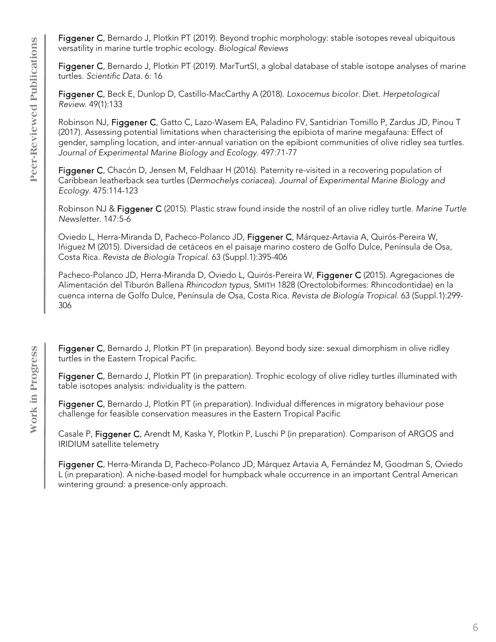Figgener C, Bernardo J, Plotkin PT (2019). Beyond trophic morphology: stable isotopes reveal ubiquitous versatility in marine turtle trophic ecology. *Biological Reviews*

Figgener C, Bernardo J, Plotkin PT (2019). MarTurtSI, a global database of stable isotope analyses of marine turtles. *Scientific Data*. 6: 16

Figgener C, Beck E, Dunlop D, Castillo-MacCarthy A (2018). *Loxocemus bicolor*. Diet. *Herpetological Review*. 49(1):133

Robinson NJ, Figgener C, Gatto C, Lazo-Wasem EA, Paladino FV, Santidrian Tomillo P, Zardus JD, Pinou T (2017). Assessing potential limitations when characterising the epibiota of marine megafauna: Effect of gender, sampling location, and inter-annual variation on the epibiont communities of olive ridley sea turtles. *Journal of Experimental Marine Biology and Ecology*. 497:71-77

Figgener C, Chacón D, Jensen M, Feldhaar H (2016). Paternity re-visited in a recovering population of Caribbean leatherback sea turtles (*Dermochelys coriacea*). *Journal of Experimental Marine Biology and Ecology*. 475:114-123

Robinson NJ & Figgener C (2015). Plastic straw found inside the nostril of an olive ridley turtle. *Marine Turtle Newsletter*. 147:5-6

Oviedo L, Herra-Miranda D, Pacheco-Polanco JD, Figgener C, Márquez-Artavia A, Quirós-Pereira W, Iñiguez M (2015). Diversidad de cetáceos en el paisaje marino costero de Golfo Dulce, Península de Osa, Costa Rica. *Revista de Biología Tropical*. 63 (Suppl.1):395-406

Pacheco-Polanco JD, Herra-Miranda D, Oviedo L, Quirós-Pereira W, Figgener C (2015). Agregaciones de Alimentación del Tiburón Ballena *Rhincodon typus*, SMITH 1828 (Orectolobiformes: Rhincodontidae) en la cuenca interna de Golfo Dulce, Península de Osa, Costa Rica. *Revista de Biología Tropical*. 63 (Suppl.1):299- 306

Figgener C, Bernardo J, Plotkin PT (in preparation). Beyond body size: sexual dimorphism in olive ridley turtles in the Eastern Tropical Pacific.

Figgener C, Bernardo J, Plotkin PT (in preparation). Trophic ecology of olive ridley turtles illuminated with table isotopes analysis: individuality is the pattern.

Figgener C, Bernardo J, Plotkin PT (in preparation). Individual differences in migratory behaviour pose challenge for feasible conservation measures in the Eastern Tropical Pacific

Casale P, Figgener C, Arendt M, Kaska Y, Plotkin P, Luschi P (in preparation). Comparison of ARGOS and IRIDIUM satellite telemetry

Figgener C, Herra-Miranda D, Pacheco-Polanco JD, Márquez Artavia A, Fernández M, Goodman S, Oviedo L (in preparation). A niche-based model for humpback whale occurrence in an important Central American wintering ground: a presence-only approach.